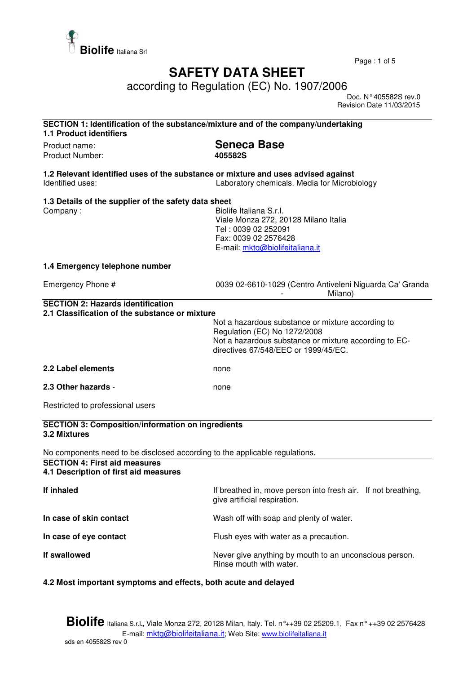

Page : 1 of 5

## **SAFETY DATA SHEET**

according to Regulation (EC) No. 1907/2006

 Doc. N° 405582S rev.0 Revision Date 11/03/2015

| SECTION 1: Identification of the substance/mixture and of the company/undertaking<br><b>1.1 Product identifiers</b> |                                                                                                                                                                                    |  |
|---------------------------------------------------------------------------------------------------------------------|------------------------------------------------------------------------------------------------------------------------------------------------------------------------------------|--|
| Product name:<br>Product Number:                                                                                    | <b>Seneca Base</b><br>405582S                                                                                                                                                      |  |
| 1.2 Relevant identified uses of the substance or mixture and uses advised against<br>Identified uses:               | Laboratory chemicals. Media for Microbiology                                                                                                                                       |  |
| 1.3 Details of the supplier of the safety data sheet<br>Company:                                                    | Biolife Italiana S.r.l.<br>Viale Monza 272, 20128 Milano Italia<br>Tel: 0039 02 252091<br>Fax: 0039 02 2576428<br>E-mail: mktg@biolifeitaliana.it                                  |  |
| 1.4 Emergency telephone number                                                                                      |                                                                                                                                                                                    |  |
| Emergency Phone #                                                                                                   | 0039 02-6610-1029 (Centro Antiveleni Niguarda Ca' Granda<br>Milano)                                                                                                                |  |
| 2.1 Classification of the substance or mixture                                                                      | Not a hazardous substance or mixture according to<br>Regulation (EC) No 1272/2008<br>Not a hazardous substance or mixture according to EC-<br>directives 67/548/EEC or 1999/45/EC. |  |
| 2.2 Label elements                                                                                                  | none                                                                                                                                                                               |  |
| 2.3 Other hazards -                                                                                                 | none                                                                                                                                                                               |  |
| Restricted to professional users                                                                                    |                                                                                                                                                                                    |  |
| <b>SECTION 3: Composition/information on ingredients</b><br>3.2 Mixtures                                            |                                                                                                                                                                                    |  |
| No components need to be disclosed according to the applicable regulations.                                         |                                                                                                                                                                                    |  |
| <b>SECTION 4: First aid measures</b><br>4.1 Description of first aid measures                                       |                                                                                                                                                                                    |  |
| If inhaled                                                                                                          | If breathed in, move person into fresh air. If not breathing,<br>give artificial respiration.                                                                                      |  |
| In case of skin contact                                                                                             | Wash off with soap and plenty of water.                                                                                                                                            |  |
| In case of eye contact                                                                                              | Flush eyes with water as a precaution.                                                                                                                                             |  |
| If swallowed                                                                                                        | Never give anything by mouth to an unconscious person.<br>Rinse mouth with water.                                                                                                  |  |

## **4.2 Most important symptoms and effects, both acute and delayed**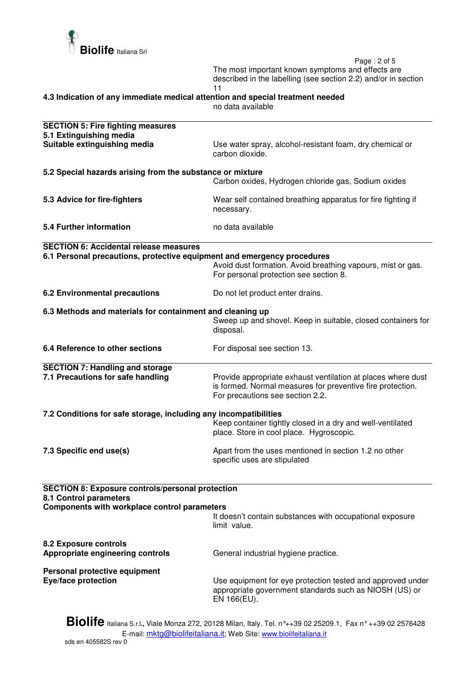

 Page : 2 of 5 The most important known symptoms and effects are described in the labelling (see section 2.2) and/or in section 11

**4.3 Indication of any immediate medical attention and special treatment needed** 

no data available

| <b>SECTION 5: Fire fighting measures</b><br>5.1 Extinguishing media     |                                                                                                                                                                |  |
|-------------------------------------------------------------------------|----------------------------------------------------------------------------------------------------------------------------------------------------------------|--|
| Suitable extinguishing media                                            | Use water spray, alcohol-resistant foam, dry chemical or<br>carbon dioxide.                                                                                    |  |
| 5.2 Special hazards arising from the substance or mixture               |                                                                                                                                                                |  |
|                                                                         | Carbon oxides, Hydrogen chloride gas, Sodium oxides                                                                                                            |  |
| 5.3 Advice for fire-fighters                                            | Wear self contained breathing apparatus for fire fighting if<br>necessary.                                                                                     |  |
| 5.4 Further information                                                 | no data available                                                                                                                                              |  |
| <b>SECTION 6: Accidental release measures</b>                           |                                                                                                                                                                |  |
| 6.1 Personal precautions, protective equipment and emergency procedures | Avoid dust formation. Avoid breathing vapours, mist or gas.<br>For personal protection see section 8.                                                          |  |
| <b>6.2 Environmental precautions</b>                                    | Do not let product enter drains.                                                                                                                               |  |
| 6.3 Methods and materials for containment and cleaning up               |                                                                                                                                                                |  |
|                                                                         | Sweep up and shovel. Keep in suitable, closed containers for<br>disposal.                                                                                      |  |
| 6.4 Reference to other sections                                         | For disposal see section 13.                                                                                                                                   |  |
| <b>SECTION 7: Handling and storage</b>                                  |                                                                                                                                                                |  |
| 7.1 Precautions for safe handling                                       | Provide appropriate exhaust ventilation at places where dust<br>is formed. Normal measures for preventive fire protection.<br>For precautions see section 2.2. |  |
| 7.2 Conditions for safe storage, including any incompatibilities        |                                                                                                                                                                |  |
|                                                                         | Keep container tightly closed in a dry and well-ventilated<br>place. Store in cool place. Hygroscopic.                                                         |  |
| 7.3 Specific end use(s)                                                 | Apart from the uses mentioned in section 1.2 no other<br>specific uses are stipulated                                                                          |  |
| <b>SECTION 8: Exposure controls/personal protection</b>                 |                                                                                                                                                                |  |
| 8.1 Control parameters<br>Components with workplace control parameters  |                                                                                                                                                                |  |
|                                                                         | It doesn't contain substances with occupational exposure<br>limit value.                                                                                       |  |
| <b>8.2 Exposure controls</b><br>Appropriate engineering controls        | General industrial hygiene practice.                                                                                                                           |  |
| Personal protective equipment                                           |                                                                                                                                                                |  |
| Eye/face protection                                                     | Use equipment for eye protection tested and approved under<br>appropriate government standards such as NIOSH (US) or<br>EN 166(EU).                            |  |
| n:                                                                      |                                                                                                                                                                |  |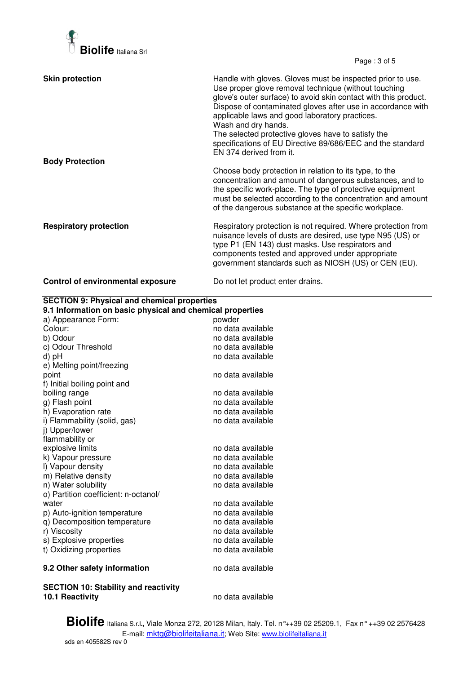

Page : 3 of 5

| <b>Skin protection</b>                   | Handle with gloves. Gloves must be inspected prior to use.<br>Use proper glove removal technique (without touching<br>glove's outer surface) to avoid skin contact with this product.<br>Dispose of contaminated gloves after use in accordance with<br>applicable laws and good laboratory practices.<br>Wash and dry hands.<br>The selected protective gloves have to satisfy the<br>specifications of EU Directive 89/686/EEC and the standard<br>EN 374 derived from it. |
|------------------------------------------|------------------------------------------------------------------------------------------------------------------------------------------------------------------------------------------------------------------------------------------------------------------------------------------------------------------------------------------------------------------------------------------------------------------------------------------------------------------------------|
| <b>Body Protection</b>                   | Choose body protection in relation to its type, to the<br>concentration and amount of dangerous substances, and to<br>the specific work-place. The type of protective equipment<br>must be selected according to the concentration and amount<br>of the dangerous substance at the specific workplace.                                                                                                                                                                       |
| <b>Respiratory protection</b>            | Respiratory protection is not required. Where protection from<br>nuisance levels of dusts are desired, use type N95 (US) or<br>type P1 (EN 143) dust masks. Use respirators and<br>components tested and approved under appropriate<br>government standards such as NIOSH (US) or CEN (EU).                                                                                                                                                                                  |
| <b>Control of environmental exposure</b> | Do not let product enter drains.                                                                                                                                                                                                                                                                                                                                                                                                                                             |

| <b>SECTION 9: Physical and chemical properties</b>        |                   |  |
|-----------------------------------------------------------|-------------------|--|
| 9.1 Information on basic physical and chemical properties |                   |  |
| a) Appearance Form:                                       | powder            |  |
| Colour:                                                   | no data available |  |
| b) Odour                                                  | no data available |  |
| c) Odour Threshold                                        | no data available |  |
| d) pH                                                     | no data available |  |
| e) Melting point/freezing                                 |                   |  |
| point                                                     | no data available |  |
| f) Initial boiling point and                              |                   |  |
| boiling range                                             | no data available |  |
| g) Flash point                                            | no data available |  |
| h) Evaporation rate                                       | no data available |  |
| i) Flammability (solid, gas)                              | no data available |  |
| j) Upper/lower                                            |                   |  |
| flammability or                                           |                   |  |
| explosive limits                                          | no data available |  |
| k) Vapour pressure                                        | no data available |  |
| I) Vapour density                                         | no data available |  |
| m) Relative density                                       | no data available |  |
| n) Water solubility                                       | no data available |  |
| o) Partition coefficient: n-octanol/                      |                   |  |
| water                                                     | no data available |  |
| p) Auto-ignition temperature                              | no data available |  |
| q) Decomposition temperature                              | no data available |  |
| r) Viscosity                                              | no data available |  |
| s) Explosive properties                                   | no data available |  |
| t) Oxidizing properties                                   | no data available |  |
| 9.2 Other safety information                              | no data available |  |
| <br>--------------                                        |                   |  |

**SECTION 10: Stability and reactivity** 

**10.1 Reactivity** no data available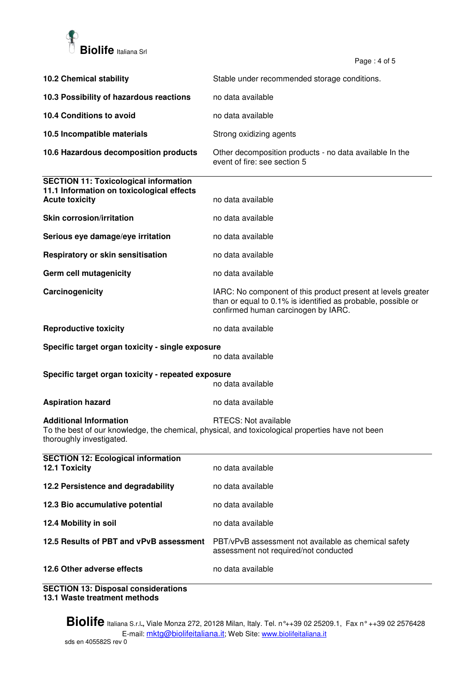

Page: 4 of 5

|                                                                                                                    | ι αγ <del>ο</del> . <del>τ</del> υι υ                                                                                                                               |
|--------------------------------------------------------------------------------------------------------------------|---------------------------------------------------------------------------------------------------------------------------------------------------------------------|
| <b>10.2 Chemical stability</b>                                                                                     | Stable under recommended storage conditions.                                                                                                                        |
| 10.3 Possibility of hazardous reactions                                                                            | no data available                                                                                                                                                   |
| 10.4 Conditions to avoid                                                                                           | no data available                                                                                                                                                   |
| 10.5 Incompatible materials                                                                                        | Strong oxidizing agents                                                                                                                                             |
| 10.6 Hazardous decomposition products                                                                              | Other decomposition products - no data available In the<br>event of fire: see section 5                                                                             |
| <b>SECTION 11: Toxicological information</b><br>11.1 Information on toxicological effects<br><b>Acute toxicity</b> | no data available                                                                                                                                                   |
| <b>Skin corrosion/irritation</b>                                                                                   | no data available                                                                                                                                                   |
| Serious eye damage/eye irritation                                                                                  | no data available                                                                                                                                                   |
| Respiratory or skin sensitisation                                                                                  | no data available                                                                                                                                                   |
| Germ cell mutagenicity                                                                                             | no data available                                                                                                                                                   |
| Carcinogenicity                                                                                                    | IARC: No component of this product present at levels greater<br>than or equal to 0.1% is identified as probable, possible or<br>confirmed human carcinogen by IARC. |
| <b>Reproductive toxicity</b>                                                                                       | no data available                                                                                                                                                   |
| Specific target organ toxicity - single exposure                                                                   | no data available                                                                                                                                                   |
| Specific target organ toxicity - repeated exposure<br>no data available                                            |                                                                                                                                                                     |
| <b>Aspiration hazard</b>                                                                                           | no data available                                                                                                                                                   |
| <b>Additional Information</b><br>thoroughly investigated.                                                          | RTECS: Not available<br>To the best of our knowledge, the chemical, physical, and toxicological properties have not been                                            |
| <b>SECTION 12: Ecological information</b><br>12.1 Toxicity                                                         | no data available                                                                                                                                                   |
| 12.2 Persistence and degradability                                                                                 | no data available                                                                                                                                                   |
| 12.3 Bio accumulative potential                                                                                    | no data available                                                                                                                                                   |
| 12.4 Mobility in soil                                                                                              | no data available                                                                                                                                                   |
| 12.5 Results of PBT and vPvB assessment                                                                            | PBT/vPvB assessment not available as chemical safety<br>assessment not required/not conducted                                                                       |
| 12.6 Other adverse effects                                                                                         | no data available                                                                                                                                                   |

**SECTION 13: Disposal considerations 13.1 Waste treatment methods**